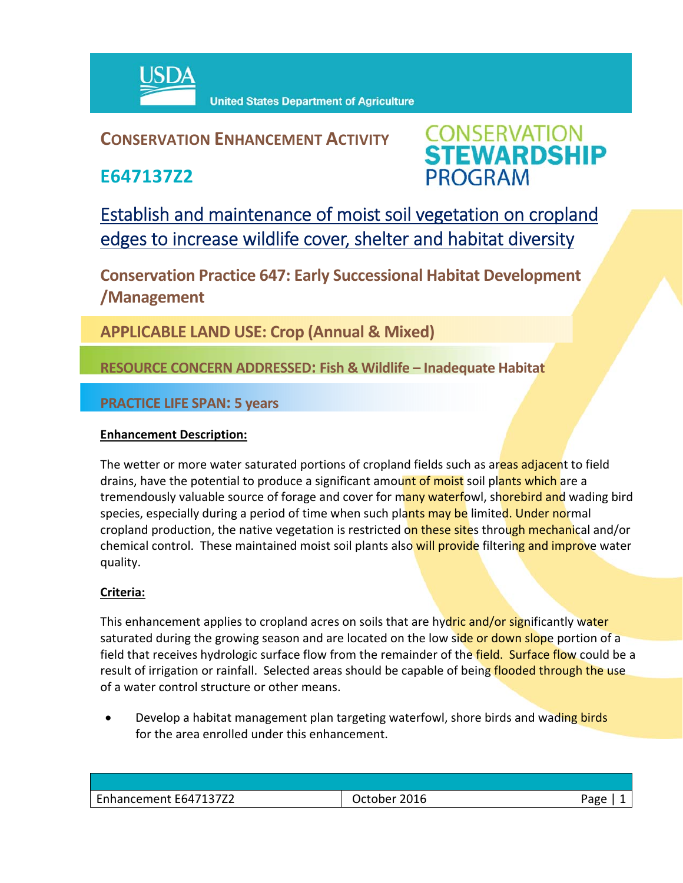

## **CONSERVATION ENHANCEMENT ACTIVITY**

**E647137Z2**



Establish and maintenance of moist soil vegetation on cropland edges to increase wildlife cover, shelter and habitat diversity

**Conservation Practice 647: Early Successional Habitat Development /Management** 

**APPLICABLE LAND USE: Crop (Annual & Mixed)**

**RESOURCE CONCERN ADDRESSED: Fish & Wildlife – Inadequate Habitat**

**PRACTICE LIFE SPAN: 5 years**

### **Enhancement Description:**

The wetter or more water saturated portions of cropland fields such as areas adjacent to field drains, have the potential to produce a significant amount of moist soil plants which are a tremendously valuable source of forage and cover for many waterfowl, shorebird and wading bird species, especially during a period of time when such plants may be limited. Under normal cropland production, the native vegetation is restricted on these sites through mechanical and/or chemical control. These maintained moist soil plants also will provide filtering and improve water quality.

### **Criteria:**

This enhancement applies to cropland acres on soils that are hydric and/or significantly water saturated during the growing season and are located on the low side or down slope portion of a field that receives hydrologic surface flow from the remainder of the field. Surface flow could be a result of irrigation or rainfall. Selected areas should be capable of being flooded through the use of a water control structure or other means.

• Develop a habitat management plan targeting waterfowl, shore birds and wading birds for the area enrolled under this enhancement.

| Enhancement E647137Z2 | October 2016 | Page |
|-----------------------|--------------|------|